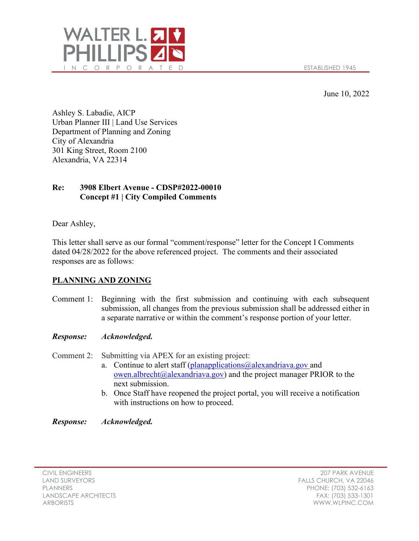

June 10, 2022

Ashley S. Labadie, AICP Urban Planner III | Land Use Services Department of Planning and Zoning City of Alexandria 301 King Street, Room 2100 Alexandria, VA 22314

# **Re: 3908 Elbert Avenue - CDSP#2022-00010 Concept #1 | City Compiled Comments**

Dear Ashley,

This letter shall serve as our formal "comment/response" letter for the Concept I Comments dated 04/28/2022 for the above referenced project. The comments and their associated responses are as follows:

## **PLANNING AND ZONING**

Comment 1: Beginning with the first submission and continuing with each subsequent submission, all changes from the previous submission shall be addressed either in a separate narrative or within the comment's response portion of your letter.

### *Response: Acknowledged.*

Comment 2: Submitting via APEX for an existing project:

- a. Continue to alert staff (planapplications  $@$  alexandriava.gov and [owen.albrecht@alexandriava.gov\)](mailto:owen.albrecht@alexandriava.gov) and the project manager PRIOR to the next submission.
- b. Once Staff have reopened the project portal, you will receive a notification with instructions on how to proceed.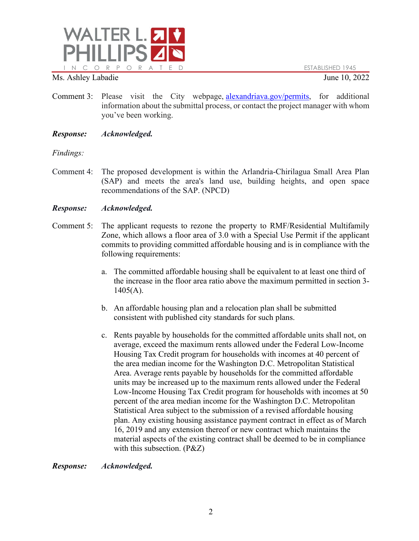

- Comment 3: Please visit the City webpage, [alexandriava.gov/permits,](https://gcc01.safelinks.protection.outlook.com/?url=https%3A%2F%2Fwww.alexandriava.gov%2FPermits&data=02%7C01%7CMaya.Contreras%40alexandriava.gov%7Ce2a5b7a8d4944593fd7d08d763b85eef%7Cfeaa9b3143754aeeadccc76ad32a890b%7C0%7C0%7C637087515832333078&sdata=xhz6BpA4pVCTgk8tEwRBuV3bebj53bGnaU%2FAV%2BXKg8g%3D&reserved=0) for additional information about the submittal process, or contact the project manager with whom you've been working.
- *Response: Acknowledged.*

## *Findings:*

Comment 4: The proposed development is within the Arlandria-Chirilagua Small Area Plan (SAP) and meets the area's land use, building heights, and open space recommendations of the SAP. (NPCD)

## *Response: Acknowledged.*

- Comment 5: The applicant requests to rezone the property to RMF/Residential Multifamily Zone, which allows a floor area of 3.0 with a Special Use Permit if the applicant commits to providing committed affordable housing and is in compliance with the following requirements:
	- a. The committed affordable housing shall be equivalent to at least one third of the increase in the floor area ratio above the maximum permitted in [section 3-](https://library.municode.com/va/alexandria/codes/zoning?nodeId=ARTIIIREZORE_DIVBTOMUZO_3-1405BUOPSPRE)  $1405(A)$  $1405(A)$ .
	- b. An affordable housing plan and a relocation plan shall be submitted consistent with published city standards for such plans.
	- c. Rents payable by households for the committed affordable units shall not, on average, exceed the maximum rents allowed under the Federal Low-Income Housing Tax Credit program for households with incomes at 40 percent of the area median income for the Washington D.C. Metropolitan Statistical Area. Average rents payable by households for the committed affordable units may be increased up to the maximum rents allowed under the Federal Low-Income Housing Tax Credit program for households with incomes at 50 percent of the area median income for the Washington D.C. Metropolitan Statistical Area subject to the submission of a revised affordable housing plan. Any existing housing assistance payment contract in effect as of March 16, 2019 and any extension thereof or new contract which maintains the material aspects of the existing contract shall be deemed to be in compliance with this subsection. (P&Z)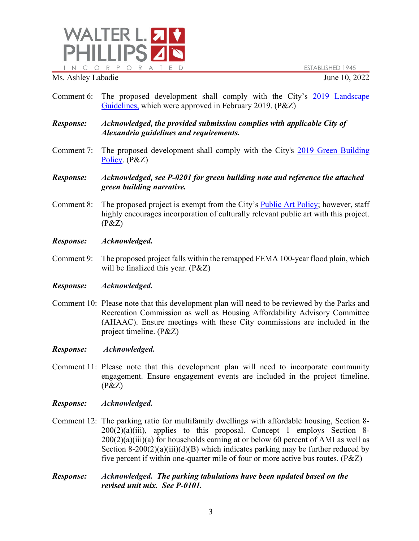

- Comment 6: The proposed development shall comply with the City's [2019 Landscape](https://www.alexandriava.gov/hub.aspx?id=108269)  [Guidelines,](https://www.alexandriava.gov/hub.aspx?id=108269) which were approved in February 2019. (P&Z)
- *Response: Acknowledged, the provided submission complies with applicable City of Alexandria guidelines and requirements.*
- Comment 7: The proposed development shall comply with the City's [2019 Green Building](https://www.alexandriava.gov/uploadedFiles/planning/info/GreenBuildingPolicy2019CCApproved.pdf)  [Policy.](https://www.alexandriava.gov/uploadedFiles/planning/info/GreenBuildingPolicy2019CCApproved.pdf) (P&Z)
- *Response: Acknowledged, see P-0201 for green building note and reference the attached green building narrative.*
- Comment 8: The proposed project is exempt from the City's [Public Art Policy;](https://www.alexandriava.gov/PublicArt) however, staff highly encourages incorporation of culturally relevant public art with this project.  $(P&Z)$
- *Response: Acknowledged.*
- Comment 9: The proposed project falls within the remapped FEMA 100-year flood plain, which will be finalized this year. (P&Z)
- *Response: Acknowledged.*
- Comment 10: Please note that this development plan will need to be reviewed by the Parks and Recreation Commission as well as Housing Affordability Advisory Committee (AHAAC). Ensure meetings with these City commissions are included in the project timeline. (P&Z)
- *Response: Acknowledged.*
- Comment 11: Please note that this development plan will need to incorporate community engagement. Ensure engagement events are included in the project timeline.  $(P&Z)$
- *Response: Acknowledged.*
- Comment 12: The parking ratio for multifamily dwellings with affordable housing, Section 8-  $200(2)(a)(iii)$ , applies to this proposal. Concept 1 employs Section 8- $200(2)(a)(iii)(a)$  for households earning at or below 60 percent of AMI as well as Section 8-200(2)(a)(iii)(d)(B) which indicates parking may be further reduced by five percent if within one-quarter mile of four or more active bus routes. (P&Z)
- *Response: Acknowledged. The parking tabulations have been updated based on the revised unit mix. See P-0101.*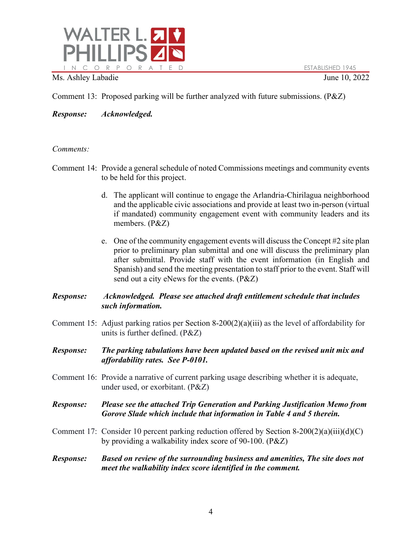

Comment 13: Proposed parking will be further analyzed with future submissions. (P&Z)

*Response: Acknowledged.*

## *Comments:*

- Comment 14: Provide a general schedule of noted Commissions meetings and community events to be held for this project.
	- d. The applicant will continue to engage the Arlandria-Chirilagua neighborhood and the applicable civic associations and provide at least two in-person (virtual if mandated) community engagement event with community leaders and its members. (P&Z)
	- e. One of the community engagement events will discuss the Concept #2 site plan prior to preliminary plan submittal and one will discuss the preliminary plan after submittal. Provide staff with the event information (in English and Spanish) and send the meeting presentation to staff prior to the event. Staff will send out a city eNews for the events. (P&Z)

## *Response: Acknowledged. Please see attached draft entitlement schedule that includes such information.*

- Comment 15: Adjust parking ratios per Section 8-200(2)(a)(iii) as the level of affordability for units is further defined. (P&Z)
- *Response: The parking tabulations have been updated based on the revised unit mix and affordability rates. See P-0101.*
- Comment 16: Provide a narrative of current parking usage describing whether it is adequate, under used, or exorbitant. (P&Z)

## *Response: Please see the attached Trip Generation and Parking Justification Memo from Gorove Slade which include that information in Table 4 and 5 therein.*

- Comment 17: Consider 10 percent parking reduction offered by Section 8-200(2)(a)(iii)(d)(C) by providing a walkability index score of 90-100. (P&Z)
- *Response: Based on review of the surrounding business and amenities, The site does not meet the walkability index score identified in the comment.*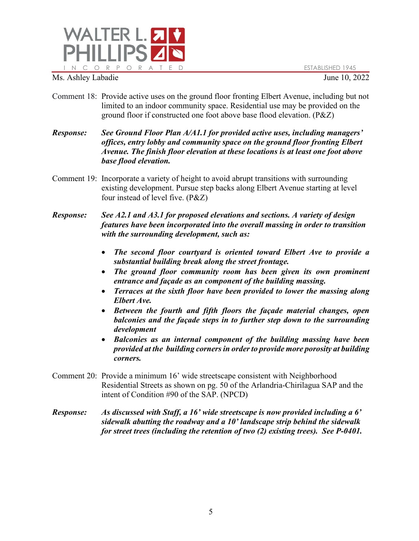

- Comment 18: Provide active uses on the ground floor fronting Elbert Avenue, including but not limited to an indoor community space. Residential use may be provided on the ground floor if constructed one foot above base flood elevation. (P&Z)
- *Response: See Ground Floor Plan A/A1.1 for provided active uses, including managers' offices, entry lobby and community space on the ground floor fronting Elbert Avenue. The finish floor elevation at these locations is at least one foot above base flood elevation.*
- Comment 19: Incorporate a variety of height to avoid abrupt transitions with surrounding existing development. Pursue step backs along Elbert Avenue starting at level four instead of level five. (P&Z)
- *Response: See A2.1 and A3.1 for proposed elevations and sections. A variety of design features have been incorporated into the overall massing in order to transition with the surrounding development, such as:*
	- *The second floor courtyard is oriented toward Elbert Ave to provide a substantial building break along the street frontage.*
	- *The ground floor community room has been given its own prominent entrance and façade as an component of the building massing.*
	- *Terraces at the sixth floor have been provided to lower the massing along Elbert Ave.*
	- *Between the fourth and fifth floors the façade material changes, open balconies and the façade steps in to further step down to the surrounding development*
	- *Balconies as an internal component of the building massing have been provided at the building corners in order to provide more porosity at building corners.*
- Comment 20: Provide a minimum 16' wide streetscape consistent with Neighborhood Residential Streets as shown on pg. 50 of the Arlandria-Chirilagua SAP and the intent of Condition #90 of the SAP. (NPCD)
- *Response: As discussed with Staff, a 16' wide streetscape is now provided including a 6' sidewalk abutting the roadway and a 10' landscape strip behind the sidewalk for street trees (including the retention of two (2) existing trees). See P-0401.*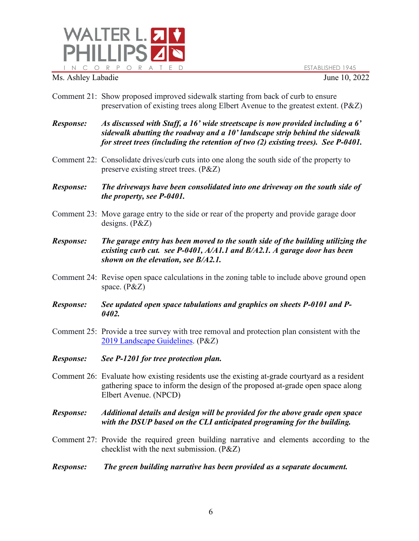



- Comment 21: Show proposed improved sidewalk starting from back of curb to ensure preservation of existing trees along Elbert Avenue to the greatest extent. (P&Z)
- *Response: As discussed with Staff, a 16' wide streetscape is now provided including a 6' sidewalk abutting the roadway and a 10' landscape strip behind the sidewalk for street trees (including the retention of two (2) existing trees). See P-0401.*
- Comment 22: Consolidate drives/curb cuts into one along the south side of the property to preserve existing street trees. (P&Z)
- *Response: The driveways have been consolidated into one driveway on the south side of the property, see P-0401.*
- Comment 23: Move garage entry to the side or rear of the property and provide garage door designs. (P&Z)
- *Response: The garage entry has been moved to the south side of the building utilizing the existing curb cut. see P-0401, A/A1.1 and B/A2.1. A garage door has been shown on the elevation, see B/A2.1.*
- Comment 24: Revise open space calculations in the zoning table to include above ground open space. (P&Z)
- *Response: See updated open space tabulations and graphics on sheets P-0101 and P-0402.*
- Comment 25: Provide a tree survey with tree removal and protection plan consistent with the [2019 Landscape Guidelines.](https://media.alexandriava.gov/docs-archives/recreation/parkplanning/landscapeguidelinesfinalv2final.pdf) (P&Z)
- *Response: See P-1201 for tree protection plan.*
- Comment 26: Evaluate how existing residents use the existing at-grade courtyard as a resident gathering space to inform the design of the proposed at-grade open space along Elbert Avenue. (NPCD)

*Response: Additional details and design will be provided for the above grade open space with the DSUP based on the CLI anticipated programing for the building.*

- Comment 27: Provide the required green building narrative and elements according to the checklist with the next submission. (P&Z)
- *Response: The green building narrative has been provided as a separate document.*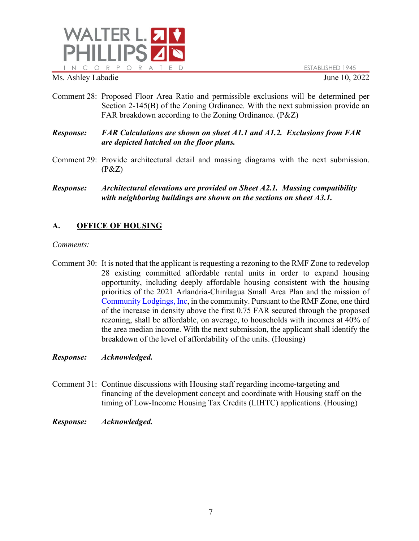

- Comment 28: Proposed Floor Area Ratio and permissible exclusions will be determined per Section 2-145(B) of the Zoning Ordinance. With the next submission provide an FAR breakdown according to the Zoning Ordinance. (P&Z)
- *Response: FAR Calculations are shown on sheet A1.1 and A1.2. Exclusions from FAR are depicted hatched on the floor plans.*
- Comment 29: Provide architectural detail and massing diagrams with the next submission.  $(P&Z)$
- *Response: Architectural elevations are provided on Sheet A2.1. Massing compatibility with neighboring buildings are shown on the sections on sheet A3.1.*

# **A. OFFICE OF HOUSING**

### *Comments:*

Comment 30: It is noted that the applicant is requesting a rezoning to the RMF Zone to redevelop 28 existing committed affordable rental units in order to expand housing opportunity, including deeply affordable housing consistent with the housing priorities of the 2021 Arlandria-Chirilagua Small Area Plan and the mission of [Community Lodgings, Inc,](https://gcc02.safelinks.protection.outlook.com/?url=https%3A%2F%2Fcommunitylodgings.org%2F&data=05%7C01%7CAshley.Labadie%40alexandriava.gov%7C488efc1a387e49d3595808da287e0a03%7Cfeaa9b3143754aeeadccc76ad32a890b%7C0%7C0%7C637866819203052377%7CUnknown%7CTWFpbGZsb3d8eyJWIjoiMC4wLjAwMDAiLCJQIjoiV2luMzIiLCJBTiI6Ik1haWwiLCJXVCI6Mn0%3D%7C3000%7C%7C%7C&sdata=l%2BhoHS1MTwalx12w3C%2BYyuqsPE6sNVPjEhZ3QTTKpFo%3D&reserved=0) in the community. Pursuant to the RMF Zone, one third of the increase in density above the first 0.75 FAR secured through the proposed rezoning, shall be affordable, on average, to households with incomes at 40% of the area median income. With the next submission, the applicant shall identify the breakdown of the level of affordability of the units. (Housing)

- Comment 31: Continue discussions with Housing staff regarding income-targeting and financing of the development concept and coordinate with Housing staff on the timing of Low-Income Housing Tax Credits (LIHTC) applications. (Housing)
- *Response: Acknowledged.*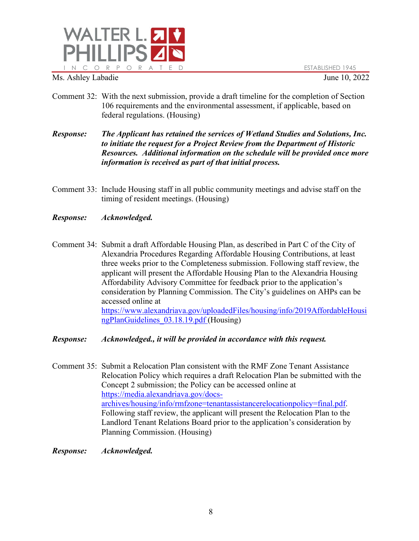

- Comment 32: With the next submission, provide a draft timeline for the completion of Section 106 requirements and the environmental assessment, if applicable, based on federal regulations. (Housing)
- *Response: The Applicant has retained the services of Wetland Studies and Solutions, Inc. to initiate the request for a Project Review from the Department of Historic Resources. Additional information on the schedule will be provided once more information is received as part of that initial process.*
- Comment 33: Include Housing staff in all public community meetings and advise staff on the timing of resident meetings. (Housing)
- *Response: Acknowledged.*
- Comment 34: Submit a draft Affordable Housing Plan, as described in Part C of the City of Alexandria Procedures Regarding Affordable Housing Contributions, at least three weeks prior to the Completeness submission. Following staff review, the applicant will present the Affordable Housing Plan to the Alexandria Housing Affordability Advisory Committee for feedback prior to the application's consideration by Planning Commission. The City's guidelines on AHPs can be accessed online at [https://www.alexandriava.gov/uploadedFiles/housing/info/2019AffordableHousi](https://www.alexandriava.gov/uploadedFiles/housing/info/2019AffordableHousingPlanGuidelines_03.18.19.pdf) [ngPlanGuidelines\\_03.18.19.pdf](https://www.alexandriava.gov/uploadedFiles/housing/info/2019AffordableHousingPlanGuidelines_03.18.19.pdf) (Housing)
- *Response: Acknowledged., it will be provided in accordance with this request.*
- Comment 35: Submit a Relocation Plan consistent with the RMF Zone Tenant Assistance Relocation Policy which requires a draft Relocation Plan be submitted with the Concept 2 submission; the Policy can be accessed online at [https://media.alexandriava.gov/docs](https://media.alexandriava.gov/docs-archives/housing/info/rmfzone=tenantassistancerelocationpolicy=final.pdf)[archives/housing/info/rmfzone=tenantassistancerelocationpolicy=final.pdf.](https://media.alexandriava.gov/docs-archives/housing/info/rmfzone=tenantassistancerelocationpolicy=final.pdf) Following staff review, the applicant will present the Relocation Plan to the Landlord Tenant Relations Board prior to the application's consideration by Planning Commission. (Housing)
- *Response: Acknowledged.*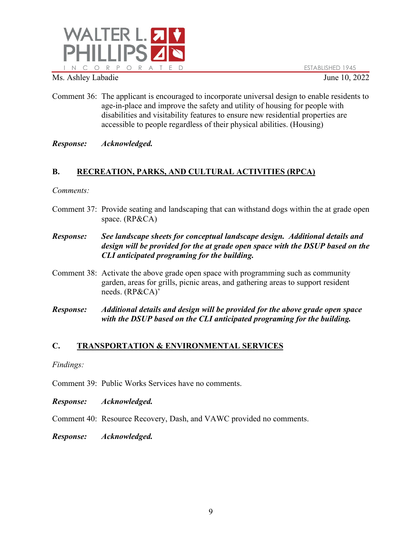

- Comment 36: The applicant is encouraged to incorporate universal design to enable residents to age-in-place and improve the safety and utility of housing for people with disabilities and visitability features to ensure new residential properties are accessible to people regardless of their physical abilities. (Housing)
- *Response: Acknowledged.*

# **B. RECREATION, PARKS, AND CULTURAL ACTIVITIES (RPCA)**

## *Comments:*

- Comment 37: Provide seating and landscaping that can withstand dogs within the at grade open space. (RP&CA)
- *Response: See landscape sheets for conceptual landscape design. Additional details and design will be provided for the at grade open space with the DSUP based on the CLI anticipated programing for the building.*
- Comment 38: Activate the above grade open space with programming such as community garden, areas for grills, picnic areas, and gathering areas to support resident needs. (RP&CA)'
- *Response: Additional details and design will be provided for the above grade open space with the DSUP based on the CLI anticipated programing for the building.*

# **C. TRANSPORTATION & ENVIRONMENTAL SERVICES**

### *Findings:*

Comment 39: Public Works Services have no comments.

- *Response: Acknowledged.*
- Comment 40: Resource Recovery, Dash, and VAWC provided no comments.
- *Response: Acknowledged.*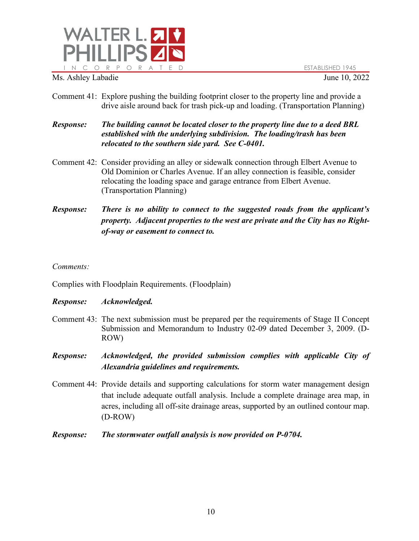

- Comment 41: Explore pushing the building footprint closer to the property line and provide a drive aisle around back for trash pick-up and loading. (Transportation Planning)
- *Response: The building cannot be located closer to the property line due to a deed BRL established with the underlying subdivision. The loading/trash has been relocated to the southern side yard. See C-0401.*
- Comment 42: Consider providing an alley or sidewalk connection through Elbert Avenue to Old Dominion or Charles Avenue. If an alley connection is feasible, consider relocating the loading space and garage entrance from Elbert Avenue. (Transportation Planning)
- *Response: There is no ability to connect to the suggested roads from the applicant's property. Adjacent properties to the west are private and the City has no Rightof-way or easement to connect to.*

### *Comments:*

Complies with Floodplain Requirements. (Floodplain)

- Comment 43: The next submission must be prepared per the requirements of Stage II Concept Submission and Memorandum to Industry 02-09 dated December 3, 2009. (D-ROW)
- *Response: Acknowledged, the provided submission complies with applicable City of Alexandria guidelines and requirements.*
- Comment 44: Provide details and supporting calculations for storm water management design that include adequate outfall analysis. Include a complete drainage area map, in acres, including all off-site drainage areas, supported by an outlined contour map. (D-ROW)
- *Response: The stormwater outfall analysis is now provided on P-0704.*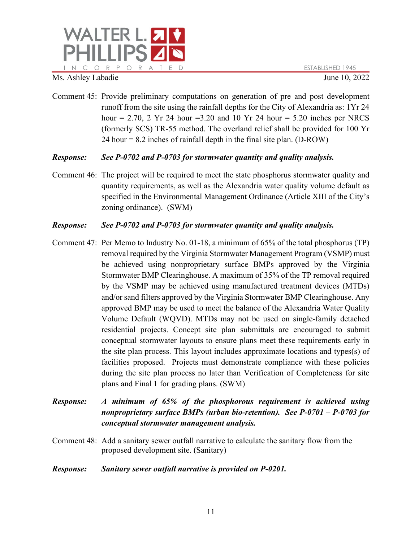

Comment 45: Provide preliminary computations on generation of pre and post development runoff from the site using the rainfall depths for the City of Alexandria as: 1Yr 24 hour = 2.70, 2 Yr 24 hour = 3.20 and 10 Yr 24 hour = 5.20 inches per NRCS (formerly SCS) TR-55 method. The overland relief shall be provided for 100 Yr  $24$  hour = 8.2 inches of rainfall depth in the final site plan. (D-ROW)

## *Response: See P-0702 and P-0703 for stormwater quantity and quality analysis.*

Comment 46: The project will be required to meet the state phosphorus stormwater quality and quantity requirements, as well as the Alexandria water quality volume default as specified in the Environmental Management Ordinance (Article XIII of the City's zoning ordinance). (SWM)

## *Response: See P-0702 and P-0703 for stormwater quantity and quality analysis.*

Comment 47: Per Memo to Industry No. 01-18, a minimum of 65% of the total phosphorus (TP) removal required by the Virginia Stormwater Management Program (VSMP) must be achieved using nonproprietary surface BMPs approved by the Virginia Stormwater BMP Clearinghouse. A maximum of 35% of the TP removal required by the VSMP may be achieved using manufactured treatment devices (MTDs) and/or sand filters approved by the Virginia Stormwater BMP Clearinghouse. Any approved BMP may be used to meet the balance of the Alexandria Water Quality Volume Default (WQVD). MTDs may not be used on single-family detached residential projects. Concept site plan submittals are encouraged to submit conceptual stormwater layouts to ensure plans meet these requirements early in the site plan process. This layout includes approximate locations and types(s) of facilities proposed. Projects must demonstrate compliance with these policies during the site plan process no later than Verification of Completeness for site plans and Final 1 for grading plans. (SWM)

# *Response: A minimum of 65% of the phosphorous requirement is achieved using nonproprietary surface BMPs (urban bio-retention). See P-0701 – P-0703 for conceptual stormwater management analysis.*

Comment 48: Add a sanitary sewer outfall narrative to calculate the sanitary flow from the proposed development site. (Sanitary)

## *Response: Sanitary sewer outfall narrative is provided on P-0201.*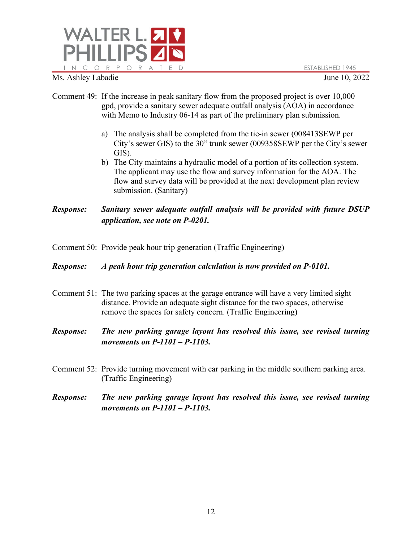

- Ms. Ashley Labadie June 10, 2022
- Comment 49: If the increase in peak sanitary flow from the proposed project is over 10,000 gpd, provide a sanitary sewer adequate outfall analysis (AOA) in accordance with Memo to Industry 06-14 as part of the preliminary plan submission.
	- a) The analysis shall be completed from the tie-in sewer (008413SEWP per City's sewer GIS) to the 30" trunk sewer (009358SEWP per the City's sewer GIS).
	- b) The City maintains a hydraulic model of a portion of its collection system. The applicant may use the flow and survey information for the AOA. The flow and survey data will be provided at the next development plan review submission. (Sanitary)

*Response: Sanitary sewer adequate outfall analysis will be provided with future DSUP application, see note on P-0201.*

- Comment 50: Provide peak hour trip generation (Traffic Engineering)
- *Response: A peak hour trip generation calculation is now provided on P-0101.*
- Comment 51: The two parking spaces at the garage entrance will have a very limited sight distance. Provide an adequate sight distance for the two spaces, otherwise remove the spaces for safety concern. (Traffic Engineering)
- *Response: The new parking garage layout has resolved this issue, see revised turning movements on P-1101 – P-1103.*
- Comment 52: Provide turning movement with car parking in the middle southern parking area. (Traffic Engineering)
- *Response: The new parking garage layout has resolved this issue, see revised turning movements on P-1101 – P-1103.*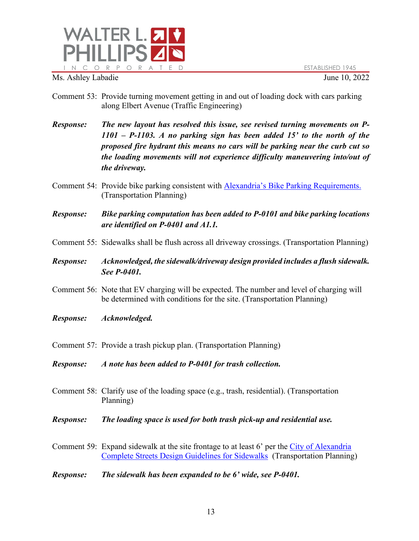

- Comment 53: Provide turning movement getting in and out of loading dock with cars parking along Elbert Avenue (Traffic Engineering)
- *Response: The new layout has resolved this issue, see revised turning movements on P-1101 – P-1103. A no parking sign has been added 15' to the north of the proposed fire hydrant this means no cars will be parking near the curb cut so the loading movements will not experience difficulty maneuvering into/out of the driveway.*
- Comment 54: Provide bike parking consistent with [Alexandria's Bike Parking Requirements.](https://www.alexandriava.gov/uploadedFiles/localmotion/info/gettingaround/Alexandria%20Bicycle%20Parking%20Requirements.pdf) (Transportation Planning)
- *Response: Bike parking computation has been added to P-0101 and bike parking locations are identified on P-0401 and A1.1.*
- Comment 55: Sidewalks shall be flush across all driveway crossings. (Transportation Planning)
- *Response: Acknowledged, the sidewalk/driveway design provided includes a flush sidewalk. See P-0401.*
- Comment 56: Note that EV charging will be expected. The number and level of charging will be determined with conditions for the site. (Transportation Planning)
- *Response: Acknowledged.*
- Comment 57: Provide a trash pickup plan. (Transportation Planning)
- *Response: A note has been added to P-0401 for trash collection.*
- Comment 58: Clarify use of the loading space (e.g., trash, residential). (Transportation Planning)
- *Response: The loading space is used for both trash pick-up and residential use.*
- Comment 59: Expand sidewalk at the site frontage to at least 6' per the [City of Alexandria](https://media.alexandriava.gov/docs-archives/localmotion/info/gettingaround/3---sidewalks-online.pdf)  [Complete Streets Design Guidelines for Sidewalks](https://media.alexandriava.gov/docs-archives/localmotion/info/gettingaround/3---sidewalks-online.pdf) (Transportation Planning)
- *Response: The sidewalk has been expanded to be 6' wide, see P-0401.*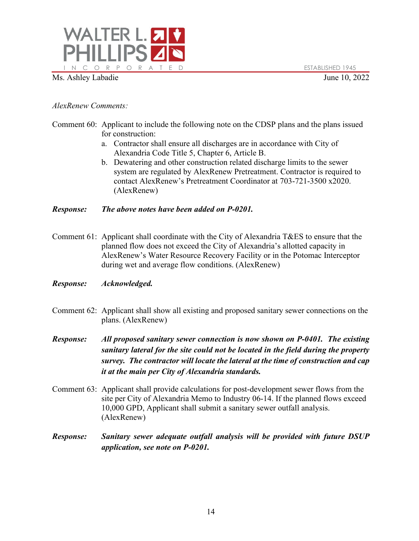

*AlexRenew Comments:*

- Comment 60: Applicant to include the following note on the CDSP plans and the plans issued for construction:
	- a. Contractor shall ensure all discharges are in accordance with City of Alexandria Code Title 5, Chapter 6, Article B.
	- b. Dewatering and other construction related discharge limits to the sewer system are regulated by AlexRenew Pretreatment. Contractor is required to contact AlexRenew's Pretreatment Coordinator at 703-721-3500 x2020. (AlexRenew)

## *Response: The above notes have been added on P-0201.*

Comment 61: Applicant shall coordinate with the City of Alexandria T&ES to ensure that the planned flow does not exceed the City of Alexandria's allotted capacity in AlexRenew's Water Resource Recovery Facility or in the Potomac Interceptor during wet and average flow conditions. (AlexRenew)

- Comment 62: Applicant shall show all existing and proposed sanitary sewer connections on the plans. (AlexRenew)
- *Response: All proposed sanitary sewer connection is now shown on P-0401. The existing sanitary lateral for the site could not be located in the field during the property survey. The contractor will locate the lateral at the time of construction and cap it at the main per City of Alexandria standards.*
- Comment 63: Applicant shall provide calculations for post-development sewer flows from the site per City of Alexandria Memo to Industry 06-14. If the planned flows exceed 10,000 GPD, Applicant shall submit a sanitary sewer outfall analysis. (AlexRenew)
- *Response: Sanitary sewer adequate outfall analysis will be provided with future DSUP application, see note on P-0201.*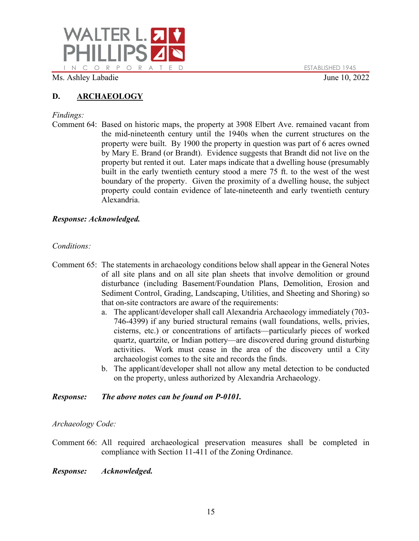

# **D. ARCHAEOLOGY**

# *Findings:*

Comment 64: Based on historic maps, the property at 3908 Elbert Ave. remained vacant from the mid-nineteenth century until the 1940s when the current structures on the property were built. By 1900 the property in question was part of 6 acres owned by Mary E. Brand (or Brandt). Evidence suggests that Brandt did not live on the property but rented it out. Later maps indicate that a dwelling house (presumably built in the early twentieth century stood a mere 75 ft. to the west of the west boundary of the property. Given the proximity of a dwelling house, the subject property could contain evidence of late-nineteenth and early twentieth century Alexandria.

## *Response: Acknowledged.*

## *Conditions:*

- Comment 65: The statements in archaeology conditions below shall appear in the General Notes of all site plans and on all site plan sheets that involve demolition or ground disturbance (including Basement/Foundation Plans, Demolition, Erosion and Sediment Control, Grading, Landscaping, Utilities, and Sheeting and Shoring) so that on-site contractors are aware of the requirements:
	- a. The applicant/developer shall call Alexandria Archaeology immediately (703- 746-4399) if any buried structural remains (wall foundations, wells, privies, cisterns, etc.) or concentrations of artifacts—particularly pieces of worked quartz, quartzite, or Indian pottery—are discovered during ground disturbing activities. Work must cease in the area of the discovery until a City archaeologist comes to the site and records the finds.
	- b. The applicant/developer shall not allow any metal detection to be conducted on the property, unless authorized by Alexandria Archaeology.

## *Response: The above notes can be found on P-0101.*

*Archaeology Code:*

Comment 66: All required archaeological preservation measures shall be completed in compliance with Section 11-411 of the Zoning Ordinance.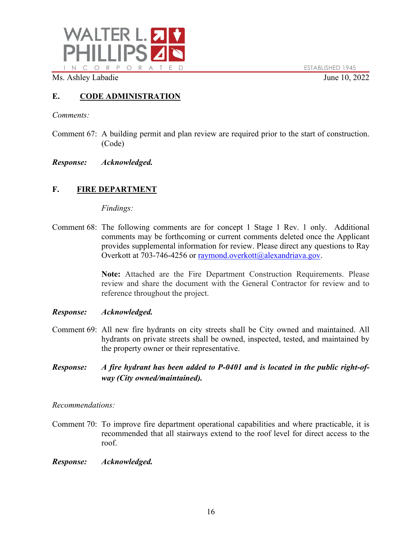

# **E. CODE ADMINISTRATION**

*Comments:*

- Comment 67: A building permit and plan review are required prior to the start of construction. (Code)
- *Response: Acknowledged.*

# **F. FIRE DEPARTMENT**

### *Findings:*

Comment 68: The following comments are for concept 1 Stage 1 Rev. 1 only. Additional comments may be forthcoming or current comments deleted once the Applicant provides supplemental information for review. Please direct any questions to Ray Overkott at 703-746-4256 or [raymond.overkott@alexandriava.gov.](mailto:raymond.overkott@alexandriava.gov)

> **Note:** Attached are the Fire Department Construction Requirements. Please review and share the document with the General Contractor for review and to reference throughout the project.

### *Response: Acknowledged.*

- Comment 69: All new fire hydrants on city streets shall be City owned and maintained. All hydrants on private streets shall be owned, inspected, tested, and maintained by the property owner or their representative.
- *Response: A fire hydrant has been added to P-0401 and is located in the public right-ofway (City owned/maintained).*

*Recommendations:*

- Comment 70: To improve fire department operational capabilities and where practicable, it is recommended that all stairways extend to the roof level for direct access to the roof.
- *Response: Acknowledged.*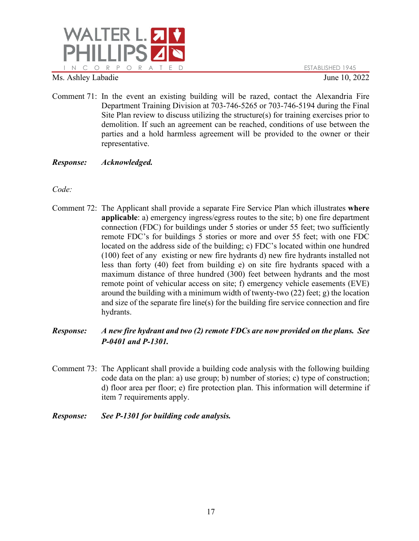

- Comment 71: In the event an existing building will be razed, contact the Alexandria Fire Department Training Division at 703-746-5265 or 703-746-5194 during the Final Site Plan review to discuss utilizing the structure(s) for training exercises prior to demolition. If such an agreement can be reached, conditions of use between the parties and a hold harmless agreement will be provided to the owner or their representative.
- *Response: Acknowledged.*

*Code:*

- Comment 72: The Applicant shall provide a separate Fire Service Plan which illustrates **where applicable**: a) emergency ingress/egress routes to the site; b) one fire department connection (FDC) for buildings under 5 stories or under 55 feet; two sufficiently remote FDC's for buildings 5 stories or more and over 55 feet; with one FDC located on the address side of the building; c) FDC's located within one hundred (100) feet of any existing or new fire hydrants d) new fire hydrants installed not less than forty (40) feet from building e) on site fire hydrants spaced with a maximum distance of three hundred (300) feet between hydrants and the most remote point of vehicular access on site; f) emergency vehicle easements (EVE) around the building with a minimum width of twenty-two (22) feet; g) the location and size of the separate fire line(s) for the building fire service connection and fire hydrants.
- *Response: A new fire hydrant and two (2) remote FDCs are now provided on the plans. See P-0401 and P-1301.*
- Comment 73: The Applicant shall provide a building code analysis with the following building code data on the plan: a) use group; b) number of stories; c) type of construction; d) floor area per floor; e) fire protection plan. This information will determine if item 7 requirements apply.
- *Response: See P-1301 for building code analysis.*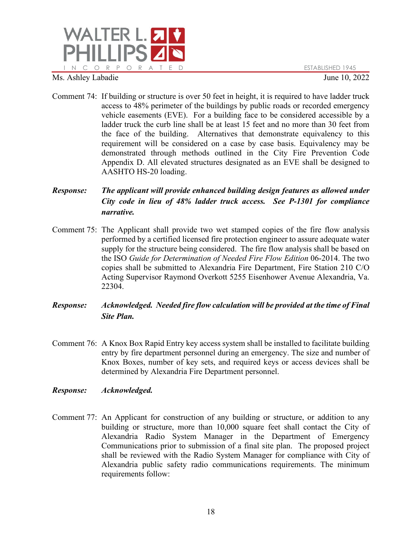

Comment 74: If building or structure is over 50 feet in height, it is required to have ladder truck access to 48% perimeter of the buildings by public roads or recorded emergency vehicle easements (EVE). For a building face to be considered accessible by a ladder truck the curb line shall be at least 15 feet and no more than 30 feet from the face of the building. Alternatives that demonstrate equivalency to this requirement will be considered on a case by case basis. Equivalency may be demonstrated through methods outlined in the City Fire Prevention Code Appendix D. All elevated structures designated as an EVE shall be designed to AASHTO HS-20 loading.

# *Response: The applicant will provide enhanced building design features as allowed under City code in lieu of 48% ladder truck access. See P-1301 for compliance narrative.*

- Comment 75: The Applicant shall provide two wet stamped copies of the fire flow analysis performed by a certified licensed fire protection engineer to assure adequate water supply for the structure being considered. The fire flow analysis shall be based on the ISO *Guide for Determination of Needed Fire Flow Edition* 06-2014. The two copies shall be submitted to Alexandria Fire Department, Fire Station 210 C/O Acting Supervisor Raymond Overkott 5255 Eisenhower Avenue Alexandria, Va. 22304.
- *Response: Acknowledged. Needed fire flow calculation will be provided at the time of Final Site Plan.*
- Comment 76: A Knox Box Rapid Entry key access system shall be installed to facilitate building entry by fire department personnel during an emergency. The size and number of Knox Boxes, number of key sets, and required keys or access devices shall be determined by Alexandria Fire Department personnel.
- *Response: Acknowledged.*
- Comment 77: An Applicant for construction of any building or structure, or addition to any building or structure, more than 10,000 square feet shall contact the City of Alexandria Radio System Manager in the Department of Emergency Communications prior to submission of a final site plan. The proposed project shall be reviewed with the Radio System Manager for compliance with City of Alexandria public safety radio communications requirements. The minimum requirements follow: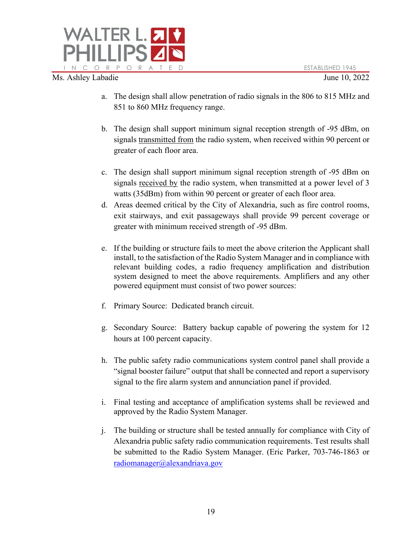

- a. The design shall allow penetration of radio signals in the 806 to 815 MHz and 851 to 860 MHz frequency range.
- b. The design shall support minimum signal reception strength of -95 dBm, on signals transmitted from the radio system, when received within 90 percent or greater of each floor area.
- c. The design shall support minimum signal reception strength of -95 dBm on signals received by the radio system, when transmitted at a power level of 3 watts (35dBm) from within 90 percent or greater of each floor area.
- d. Areas deemed critical by the City of Alexandria, such as fire control rooms, exit stairways, and exit passageways shall provide 99 percent coverage or greater with minimum received strength of -95 dBm.
- e. If the building or structure fails to meet the above criterion the Applicant shall install, to the satisfaction of the Radio System Manager and in compliance with relevant building codes, a radio frequency amplification and distribution system designed to meet the above requirements. Amplifiers and any other powered equipment must consist of two power sources:
- f. Primary Source: Dedicated branch circuit.
- g. Secondary Source: Battery backup capable of powering the system for 12 hours at 100 percent capacity.
- h. The public safety radio communications system control panel shall provide a "signal booster failure" output that shall be connected and report a supervisory signal to the fire alarm system and annunciation panel if provided.
- i. Final testing and acceptance of amplification systems shall be reviewed and approved by the Radio System Manager.
- j. The building or structure shall be tested annually for compliance with City of Alexandria public safety radio communication requirements. Test results shall be submitted to the Radio System Manager. (Eric Parker, 703-746-1863 or [radiomanager@alexandriava.gov](mailto:radiomanager@alexandriava.gov)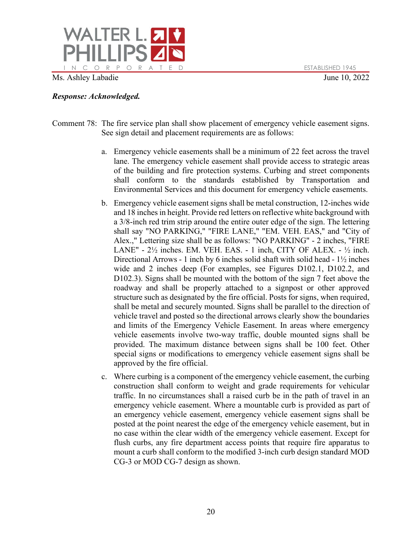

- Comment 78: The fire service plan shall show placement of emergency vehicle easement signs. See sign detail and placement requirements are as follows:
	- a. Emergency vehicle easements shall be a minimum of 22 feet across the travel lane. The emergency vehicle easement shall provide access to strategic areas of the building and fire protection systems. Curbing and street components shall conform to the standards established by Transportation and Environmental Services and this document for emergency vehicle easements.
	- b. Emergency vehicle easement signs shall be metal construction, 12-inches wide and 18 inches in height. Provide red letters on reflective white background with a 3/8-inch red trim strip around the entire outer edge of the sign. The lettering shall say "NO PARKING," "FIRE LANE," "EM. VEH. EAS," and "City of Alex.," Lettering size shall be as follows: "NO PARKING" - 2 inches, "FIRE LANE" -  $2\frac{1}{2}$  inches. EM. VEH. EAS. - 1 inch, CITY OF ALEX. -  $\frac{1}{2}$  inch. Directional Arrows - 1 inch by 6 inches solid shaft with solid head - 1½ inches wide and 2 inches deep (For examples, see Figures D102.1, D102.2, and D<sub>102.3</sub>). Signs shall be mounted with the bottom of the sign 7 feet above the roadway and shall be properly attached to a signpost or other approved structure such as designated by the fire official. Posts for signs, when required, shall be metal and securely mounted. Signs shall be parallel to the direction of vehicle travel and posted so the directional arrows clearly show the boundaries and limits of the Emergency Vehicle Easement. In areas where emergency vehicle easements involve two-way traffic, double mounted signs shall be provided. The maximum distance between signs shall be 100 feet. Other special signs or modifications to emergency vehicle easement signs shall be approved by the fire official.
	- c. Where curbing is a component of the emergency vehicle easement, the curbing construction shall conform to weight and grade requirements for vehicular traffic. In no circumstances shall a raised curb be in the path of travel in an emergency vehicle easement. Where a mountable curb is provided as part of an emergency vehicle easement, emergency vehicle easement signs shall be posted at the point nearest the edge of the emergency vehicle easement, but in no case within the clear width of the emergency vehicle easement. Except for flush curbs, any fire department access points that require fire apparatus to mount a curb shall conform to the modified 3-inch curb design standard MOD CG-3 or MOD CG-7 design as shown.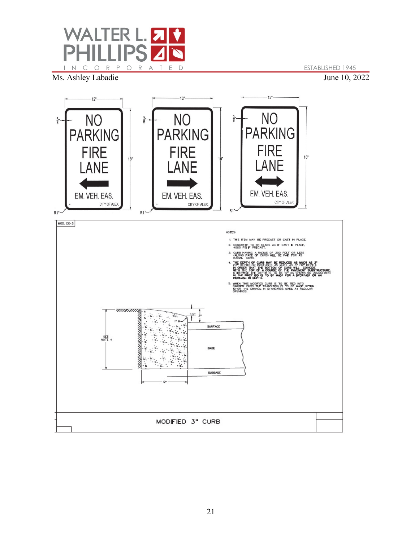

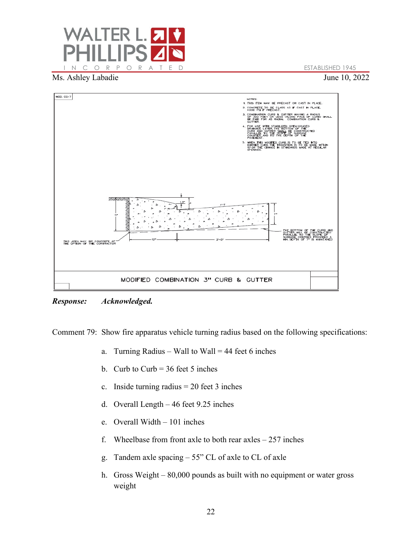



*Response: Acknowledged.*

Comment 79: Show fire apparatus vehicle turning radius based on the following specifications:

- a. Turning Radius Wall to Wall = 44 feet 6 inches
- b. Curb to Curb =  $36$  feet 5 inches
- c. Inside turning radius  $= 20$  feet 3 inches
- d. Overall Length 46 feet 9.25 inches
- e. Overall Width 101 inches
- f. Wheelbase from front axle to both rear  $ax \text{les} 257$  inches
- g. Tandem axle spacing 55" CL of axle to CL of axle
- h. Gross Weight 80,000 pounds as built with no equipment or water gross weight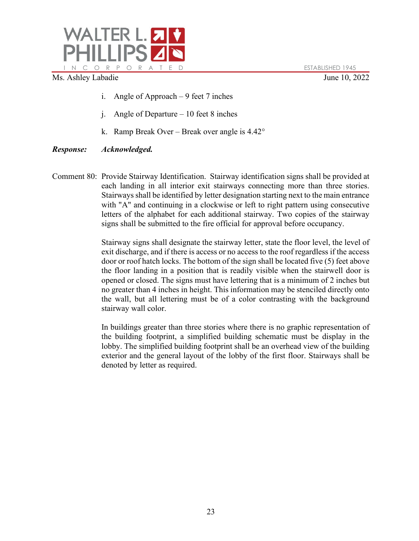

- i. Angle of Approach 9 feet 7 inches
- j. Angle of Departure 10 feet 8 inches
- k. Ramp Break Over Break over angle is 4.42°

# *Response: Acknowledged.*

Comment 80: Provide Stairway Identification. Stairway identification signs shall be provided at each landing in all interior exit stairways connecting more than three stories. Stairways shall be identified by letter designation starting next to the main entrance with "A" and continuing in a clockwise or left to right pattern using consecutive letters of the alphabet for each additional stairway. Two copies of the stairway signs shall be submitted to the fire official for approval before occupancy.

> Stairway signs shall designate the stairway letter, state the floor level, the level of exit discharge, and if there is access or no access to the roof regardless if the access door or roof hatch locks. The bottom of the sign shall be located five (5) feet above the floor landing in a position that is readily visible when the stairwell door is opened or closed. The signs must have lettering that is a minimum of 2 inches but no greater than 4 inches in height. This information may be stenciled directly onto the wall, but all lettering must be of a color contrasting with the background stairway wall color.

> In buildings greater than three stories where there is no graphic representation of the building footprint, a simplified building schematic must be display in the lobby. The simplified building footprint shall be an overhead view of the building exterior and the general layout of the lobby of the first floor. Stairways shall be denoted by letter as required.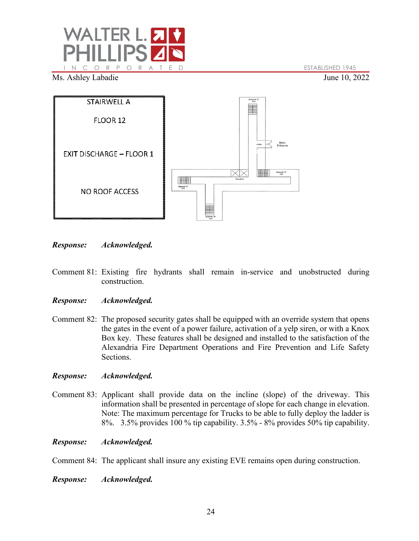



*Response: Acknowledged.*

Comment 81: Existing fire hydrants shall remain in-service and unobstructed during construction.

### *Response: Acknowledged.*

Comment 82: The proposed security gates shall be equipped with an override system that opens the gates in the event of a power failure, activation of a yelp siren, or with a Knox Box key. These features shall be designed and installed to the satisfaction of the Alexandria Fire Department Operations and Fire Prevention and Life Safety Sections.

### *Response: Acknowledged.*

Comment 83: Applicant shall provide data on the incline (slope) of the driveway. This information shall be presented in percentage of slope for each change in elevation. Note: The maximum percentage for Trucks to be able to fully deploy the ladder is 8%. 3.5% provides 100 % tip capability. 3.5% - 8% provides 50% tip capability.

### *Response: Acknowledged.*

Comment 84: The applicant shall insure any existing EVE remains open during construction.